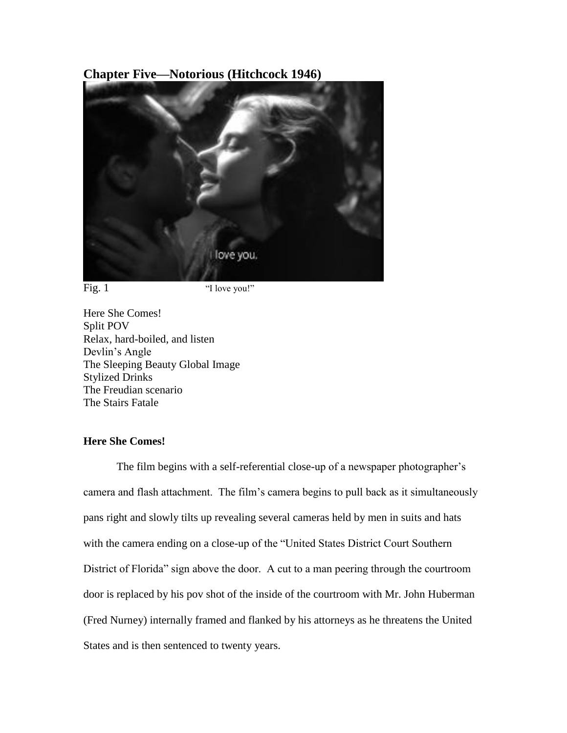# **Chapter Five—Notorious (Hitchcock 1946)**



Fig. 1 "I love you!"

Here She Comes! Split POV Relax, hard-boiled, and listen Devlin's Angle The Sleeping Beauty Global Image Stylized Drinks The Freudian scenario The Stairs Fatale 

#### **Here She Comes!**

The film begins with a self-referential close-up of a newspaper photographer's camera and flash attachment. The film's camera begins to pull back as it simultaneously pans right and slowly tilts up revealing several cameras held by men in suits and hats with the camera ending on a close-up of the "United States District Court Southern District of Florida" sign above the door. A cut to a man peering through the courtroom door is replaced by his pov shot of the inside of the courtroom with Mr. John Huberman (Fred Nurney) internally framed and flanked by his attorneys as he threatens the United States and is then sentenced to twenty years.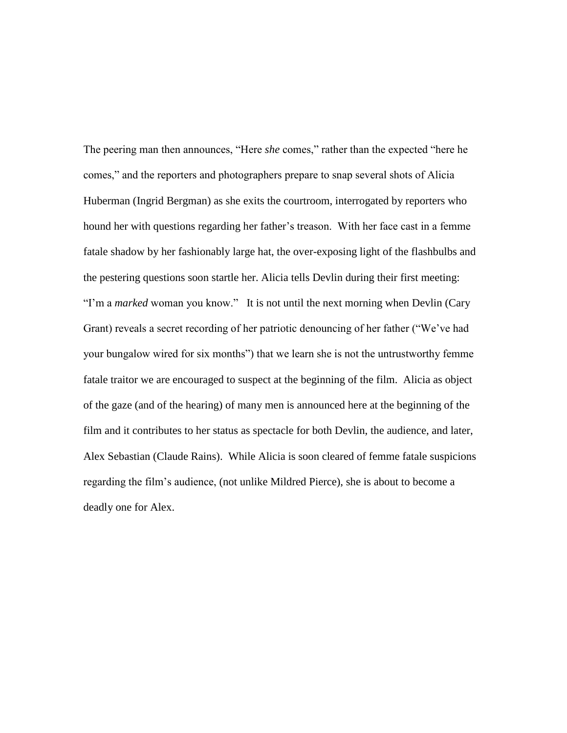The peering man then announces, "Here *she* comes," rather than the expected "here he comes," and the reporters and photographers prepare to snap several shots of Alicia Huberman (Ingrid Bergman) as she exits the courtroom, interrogated by reporters who hound her with questions regarding her father's treason. With her face cast in a femme fatale shadow by her fashionably large hat, the over-exposing light of the flashbulbs and the pestering questions soon startle her. Alicia tells Devlin during their first meeting: "I'm a *marked* woman you know." It is not until the next morning when Devlin (Cary Grant) reveals a secret recording of her patriotic denouncing of her father ("We've had your bungalow wired for six months") that we learn she is not the untrustworthy femme fatale traitor we are encouraged to suspect at the beginning of the film. Alicia as object of the gaze (and of the hearing) of many men is announced here at the beginning of the film and it contributes to her status as spectacle for both Devlin, the audience, and later, Alex Sebastian (Claude Rains). While Alicia is soon cleared of femme fatale suspicions regarding the film's audience, (not unlike Mildred Pierce), she is about to become a deadly one for Alex.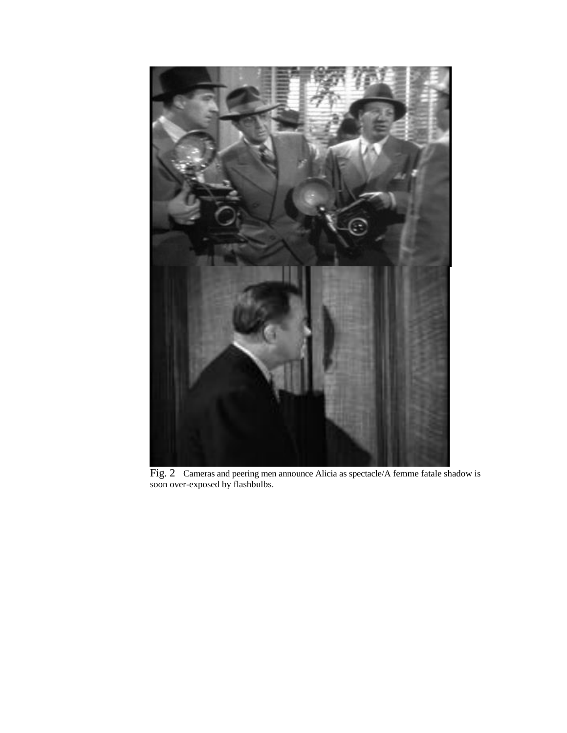

Fig. 2 Cameras and peering men announce Alicia as spectacle/A femme fatale shadow is soon over-exposed by flashbulbs.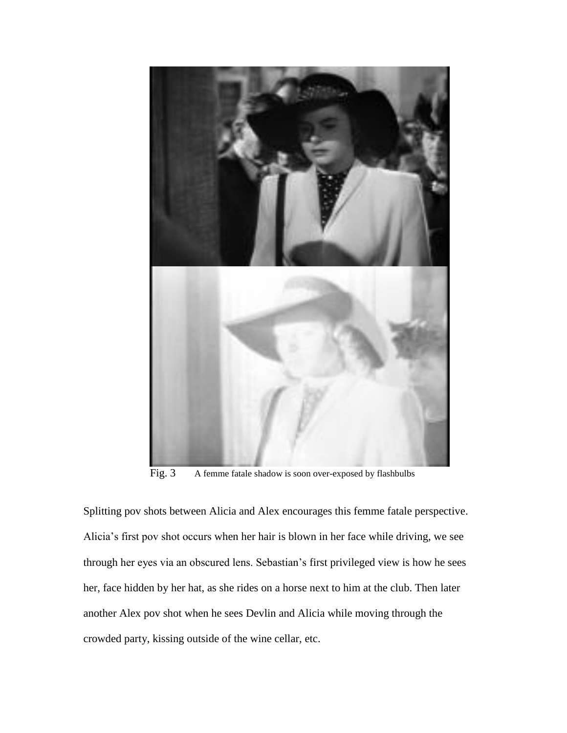

Fig. 3 A femme fatale shadow is soon over-exposed by flashbulbs

Splitting pov shots between Alicia and Alex encourages this femme fatale perspective. Alicia's first pov shot occurs when her hair is blown in her face while driving, we see through her eyes via an obscured lens. Sebastian's first privileged view is how he sees her, face hidden by her hat, as she rides on a horse next to him at the club. Then later another Alex pov shot when he sees Devlin and Alicia while moving through the crowded party, kissing outside of the wine cellar, etc.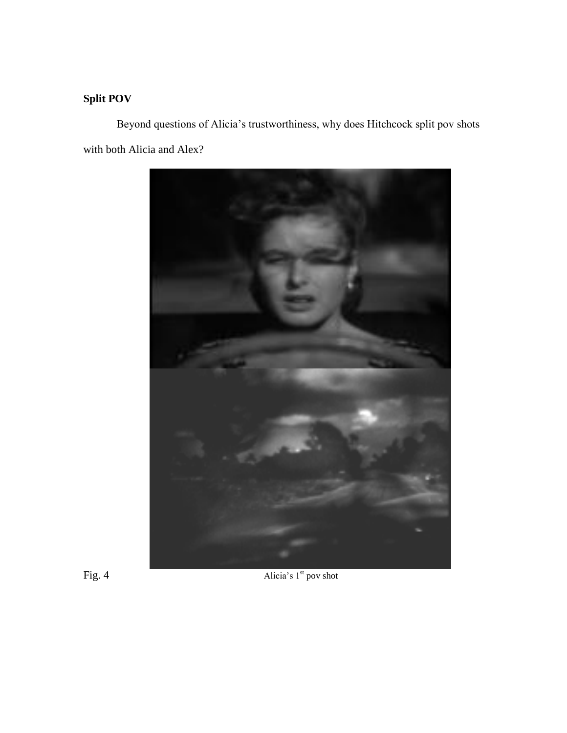# **Split POV**

Beyond questions of Alicia's trustworthiness, why does Hitchcock split pov shots with both Alicia and Alex?



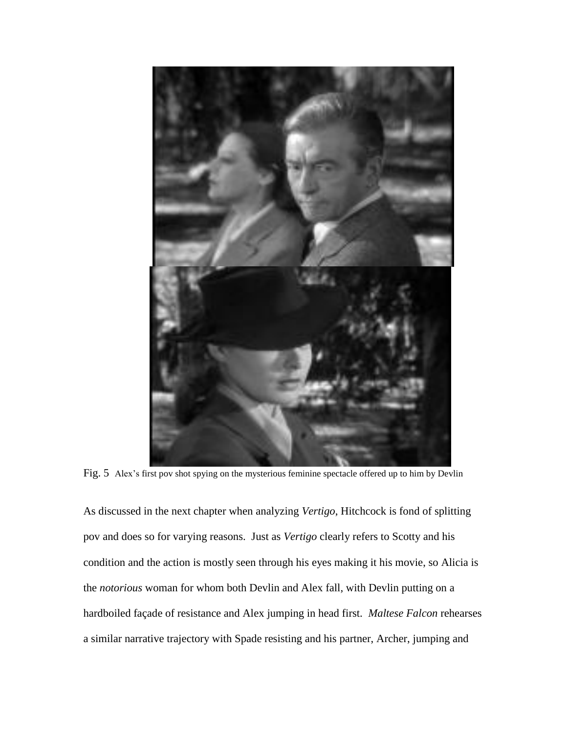

Fig. 5 Alex's first pov shot spying on the mysterious feminine spectacle offered up to him by Devlin

As discussed in the next chapter when analyzing *Vertigo*, Hitchcock is fond of splitting pov and does so for varying reasons. Just as *Vertigo* clearly refers to Scotty and his condition and the action is mostly seen through his eyes making it his movie, so Alicia is the *notorious* woman for whom both Devlin and Alex fall, with Devlin putting on a hardboiled façade of resistance and Alex jumping in head first. *Maltese Falcon* rehearses a similar narrative trajectory with Spade resisting and his partner, Archer, jumping and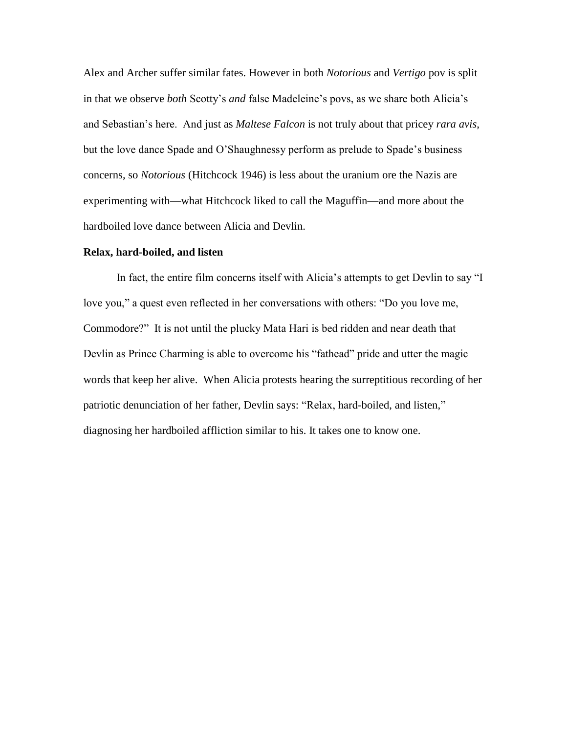Alex and Archer suffer similar fates. However in both *Notorious* and *Vertigo* pov is split in that we observe *both* Scotty's *and* false Madeleine's povs, as we share both Alicia's and Sebastian's here. And just as *Maltese Falcon* is not truly about that pricey *rara avis*, but the love dance Spade and O'Shaughnessy perform as prelude to Spade's business concerns, so *Notorious* (Hitchcock 1946) is less about the uranium ore the Nazis are experimenting with—what Hitchcock liked to call the Maguffin—and more about the hardboiled love dance between Alicia and Devlin.

#### **Relax, hard-boiled, and listen**

In fact, the entire film concerns itself with Alicia's attempts to get Devlin to say "I love you," a quest even reflected in her conversations with others: "Do you love me, Commodore?" It is not until the plucky Mata Hari is bed ridden and near death that Devlin as Prince Charming is able to overcome his "fathead" pride and utter the magic words that keep her alive. When Alicia protests hearing the surreptitious recording of her patriotic denunciation of her father, Devlin says: "Relax, hard-boiled, and listen," diagnosing her hardboiled affliction similar to his. It takes one to know one.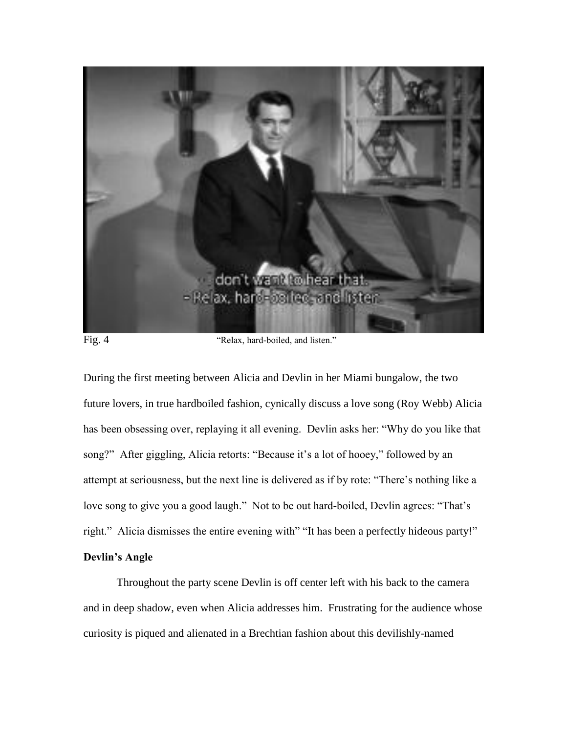

Fig. 4 "Relax, hard-boiled, and listen."

During the first meeting between Alicia and Devlin in her Miami bungalow, the two future lovers, in true hardboiled fashion, cynically discuss a love song (Roy Webb) Alicia has been obsessing over, replaying it all evening. Devlin asks her: "Why do you like that song?" After giggling, Alicia retorts: "Because it's a lot of hooey," followed by an attempt at seriousness, but the next line is delivered as if by rote: "There's nothing like a love song to give you a good laugh." Not to be out hard-boiled, Devlin agrees: "That's right." Alicia dismisses the entire evening with" "It has been a perfectly hideous party!"

# **Devlin's Angle**

Throughout the party scene Devlin is off center left with his back to the camera and in deep shadow, even when Alicia addresses him. Frustrating for the audience whose curiosity is piqued and alienated in a Brechtian fashion about this devilishly-named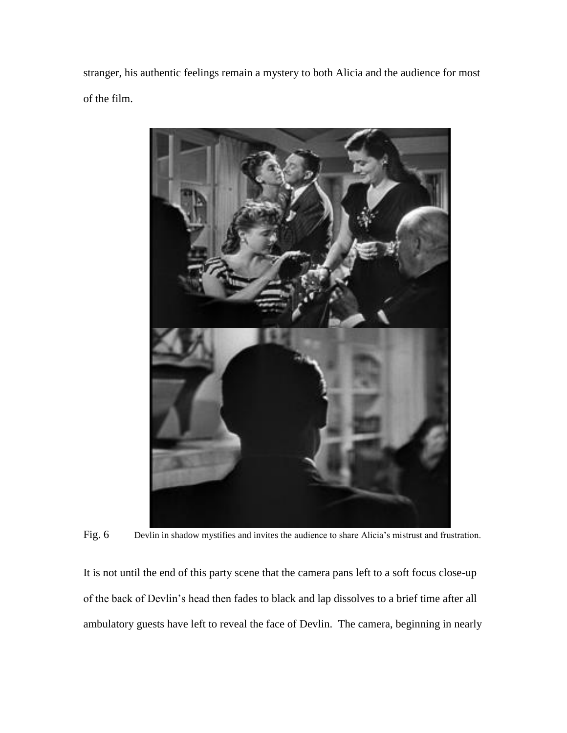stranger, his authentic feelings remain a mystery to both Alicia and the audience for most of the film.



Fig. 6 Devlin in shadow mystifies and invites the audience to share Alicia's mistrust and frustration.

It is not until the end of this party scene that the camera pans left to a soft focus close-up of the back of Devlin's head then fades to black and lap dissolves to a brief time after all ambulatory guests have left to reveal the face of Devlin. The camera, beginning in nearly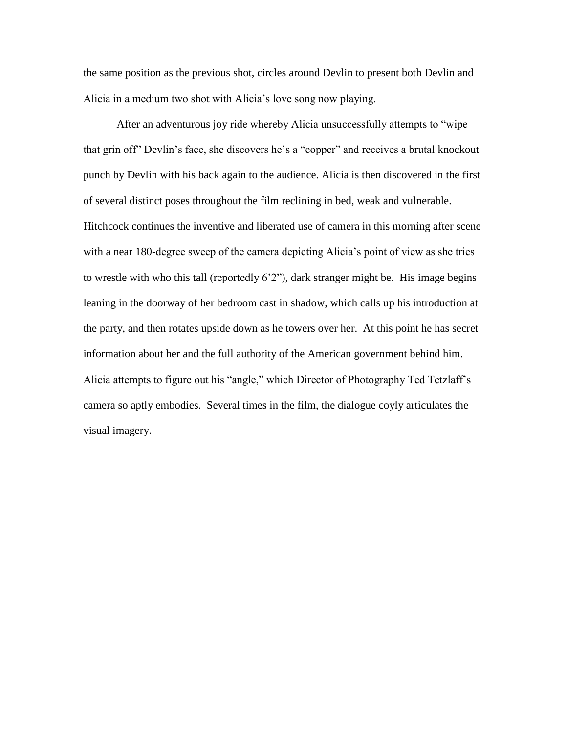the same position as the previous shot, circles around Devlin to present both Devlin and Alicia in a medium two shot with Alicia's love song now playing.

After an adventurous joy ride whereby Alicia unsuccessfully attempts to "wipe that grin off" Devlin's face, she discovers he's a "copper" and receives a brutal knockout punch by Devlin with his back again to the audience. Alicia is then discovered in the first of several distinct poses throughout the film reclining in bed, weak and vulnerable. Hitchcock continues the inventive and liberated use of camera in this morning after scene with a near 180-degree sweep of the camera depicting Alicia's point of view as she tries to wrestle with who this tall (reportedly 6'2"), dark stranger might be. His image begins leaning in the doorway of her bedroom cast in shadow, which calls up his introduction at the party, and then rotates upside down as he towers over her. At this point he has secret information about her and the full authority of the American government behind him. Alicia attempts to figure out his "angle," which Director of Photography Ted Tetzlaff's camera so aptly embodies. Several times in the film, the dialogue coyly articulates the visual imagery.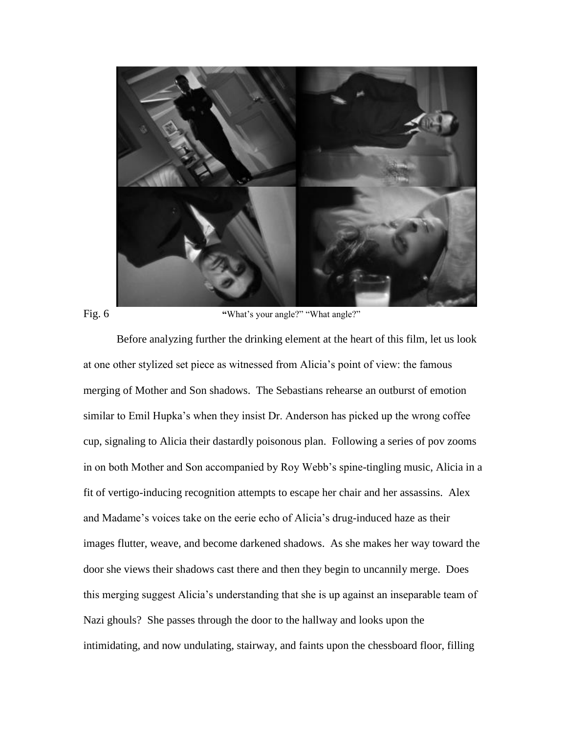

Fig. 6 **"What's your angle?"** "What angle?"

Before analyzing further the drinking element at the heart of this film, let us look at one other stylized set piece as witnessed from Alicia's point of view: the famous merging of Mother and Son shadows. The Sebastians rehearse an outburst of emotion similar to Emil Hupka's when they insist Dr. Anderson has picked up the wrong coffee cup, signaling to Alicia their dastardly poisonous plan. Following a series of pov zooms in on both Mother and Son accompanied by Roy Webb's spine-tingling music, Alicia in a fit of vertigo-inducing recognition attempts to escape her chair and her assassins. Alex and Madame's voices take on the eerie echo of Alicia's drug-induced haze as their images flutter, weave, and become darkened shadows. As she makes her way toward the door she views their shadows cast there and then they begin to uncannily merge. Does this merging suggest Alicia's understanding that she is up against an inseparable team of Nazi ghouls? She passes through the door to the hallway and looks upon the intimidating, and now undulating, stairway, and faints upon the chessboard floor, filling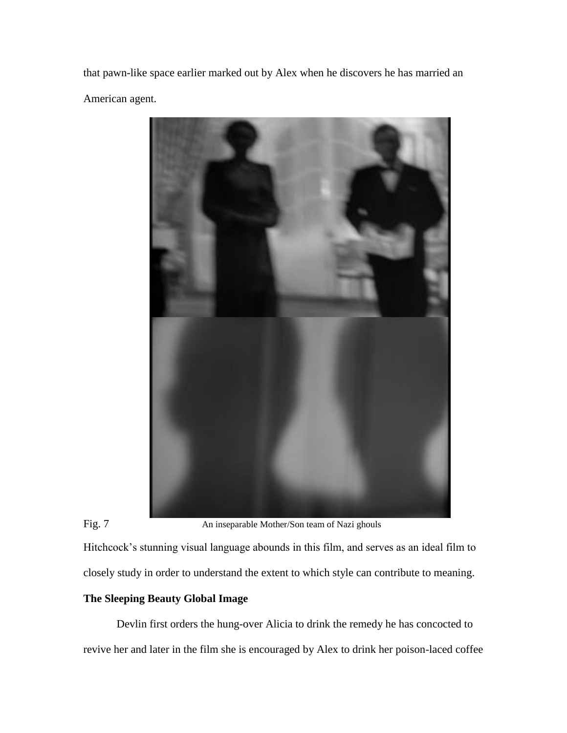that pawn-like space earlier marked out by Alex when he discovers he has married an American agent.



Fig. 7 An inseparable Mother/Son team of Nazi ghouls

Hitchcock's stunning visual language abounds in this film, and serves as an ideal film to closely study in order to understand the extent to which style can contribute to meaning.

## **The Sleeping Beauty Global Image**

Devlin first orders the hung-over Alicia to drink the remedy he has concocted to revive her and later in the film she is encouraged by Alex to drink her poison-laced coffee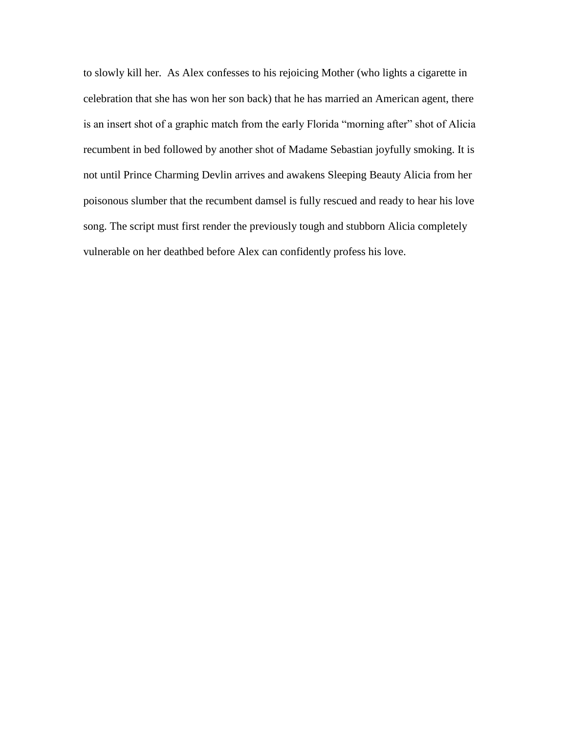to slowly kill her. As Alex confesses to his rejoicing Mother (who lights a cigarette in celebration that she has won her son back) that he has married an American agent, there is an insert shot of a graphic match from the early Florida "morning after" shot of Alicia recumbent in bed followed by another shot of Madame Sebastian joyfully smoking. It is not until Prince Charming Devlin arrives and awakens Sleeping Beauty Alicia from her poisonous slumber that the recumbent damsel is fully rescued and ready to hear his love song. The script must first render the previously tough and stubborn Alicia completely vulnerable on her deathbed before Alex can confidently profess his love.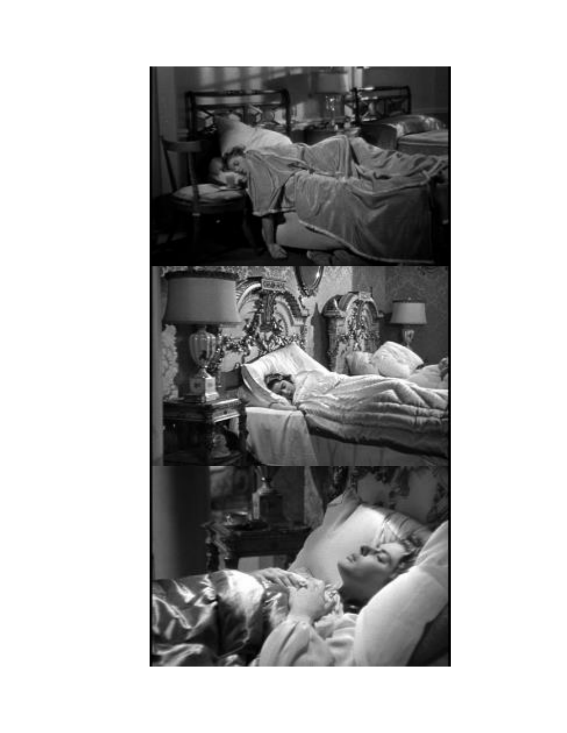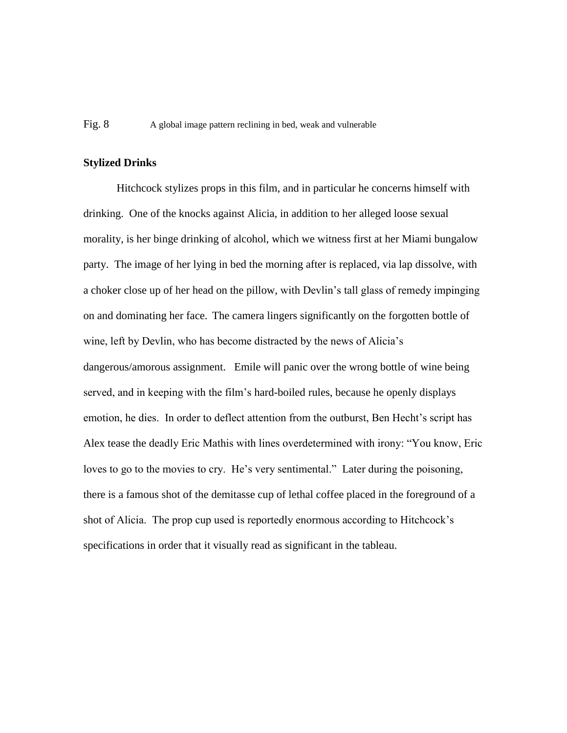#### Fig. 8 A global image pattern reclining in bed, weak and vulnerable

### **Stylized Drinks**

Hitchcock stylizes props in this film, and in particular he concerns himself with drinking. One of the knocks against Alicia, in addition to her alleged loose sexual morality, is her binge drinking of alcohol, which we witness first at her Miami bungalow party. The image of her lying in bed the morning after is replaced, via lap dissolve, with a choker close up of her head on the pillow, with Devlin's tall glass of remedy impinging on and dominating her face.The camera lingers significantly on the forgotten bottle of wine, left by Devlin, who has become distracted by the news of Alicia's dangerous/amorous assignment. Emile will panic over the wrong bottle of wine being served, and in keeping with the film's hard-boiled rules, because he openly displays emotion, he dies. In order to deflect attention from the outburst, Ben Hecht's script has Alex tease the deadly Eric Mathis with lines overdetermined with irony: "You know, Eric loves to go to the movies to cry. He's very sentimental." Later during the poisoning, there is a famous shot of the demitasse cup of lethal coffee placed in the foreground of a shot of Alicia. The prop cup used is reportedly enormous according to Hitchcock's specifications in order that it visually read as significant in the tableau.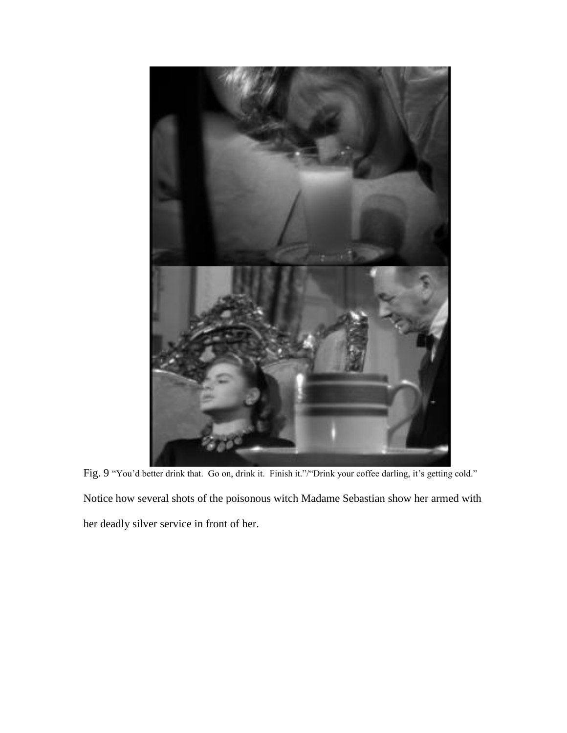

Fig. 9 "You'd better drink that. Go on, drink it. Finish it."/"Drink your coffee darling, it's getting cold." Notice how several shots of the poisonous witch Madame Sebastian show her armed with her deadly silver service in front of her.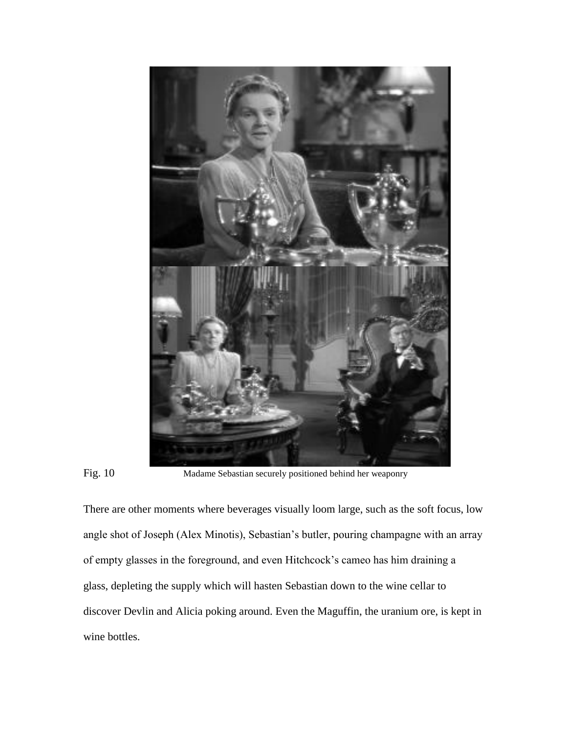

Fig. 10 Madame Sebastian securely positioned behind her weaponry

There are other moments where beverages visually loom large, such as the soft focus, low angle shot of Joseph (Alex Minotis), Sebastian's butler, pouring champagne with an array of empty glasses in the foreground, and even Hitchcock's cameo has him draining a glass, depleting the supply which will hasten Sebastian down to the wine cellar to discover Devlin and Alicia poking around. Even the Maguffin, the uranium ore, is kept in wine bottles.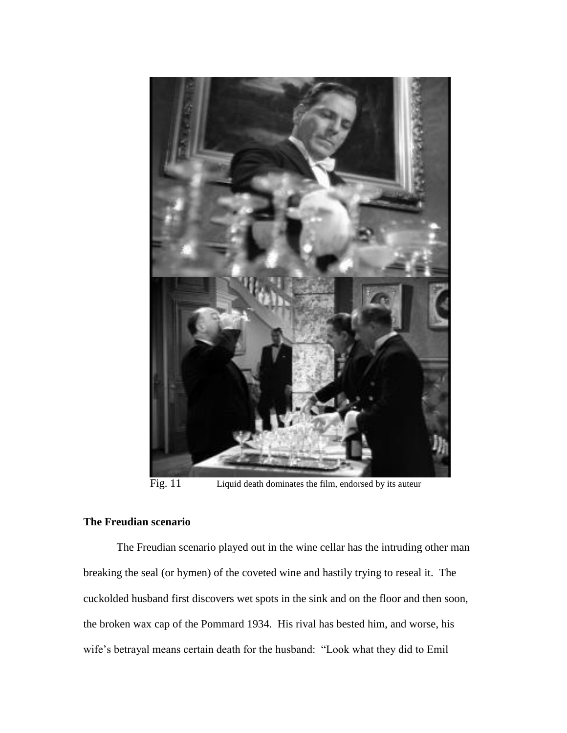

Fig. 11 Liquid death dominates the film, endorsed by its auteur

### **The Freudian scenario**

The Freudian scenario played out in the wine cellar has the intruding other man breaking the seal (or hymen) of the coveted wine and hastily trying to reseal it. The cuckolded husband first discovers wet spots in the sink and on the floor and then soon, the broken wax cap of the Pommard 1934. His rival has bested him, and worse, his wife's betrayal means certain death for the husband: "Look what they did to Emil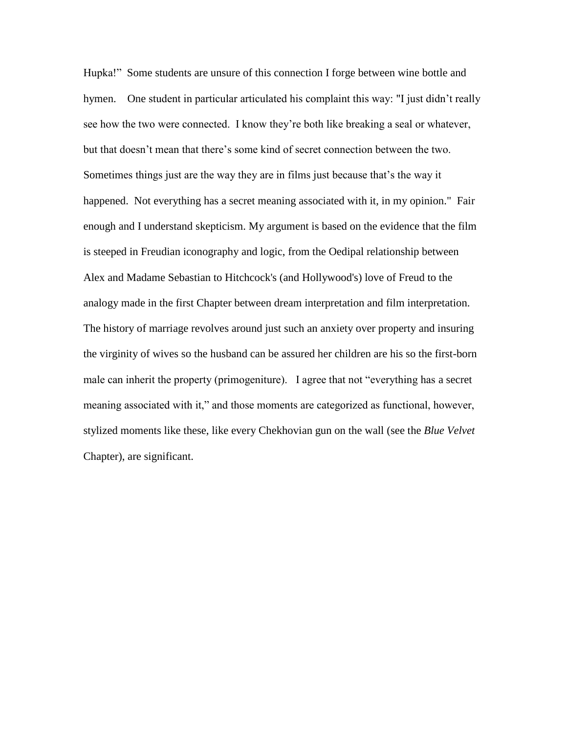Hupka!" Some students are unsure of this connection I forge between wine bottle and hymen. One student in particular articulated his complaint this way: "I just didn't really see how the two were connected. I know they're both like breaking a seal or whatever, but that doesn't mean that there's some kind of secret connection between the two. Sometimes things just are the way they are in films just because that's the way it happened. Not everything has a secret meaning associated with it, in my opinion." Fair enough and I understand skepticism. My argument is based on the evidence that the film is steeped in Freudian iconography and logic, from the Oedipal relationship between Alex and Madame Sebastian to Hitchcock's (and Hollywood's) love of Freud to the analogy made in the first Chapter between dream interpretation and film interpretation. The history of marriage revolves around just such an anxiety over property and insuring the virginity of wives so the husband can be assured her children are his so the first-born male can inherit the property (primogeniture). I agree that not "everything has a secret meaning associated with it," and those moments are categorized as functional, however, stylized moments like these, like every Chekhovian gun on the wall (see the *Blue Velvet* Chapter), are significant.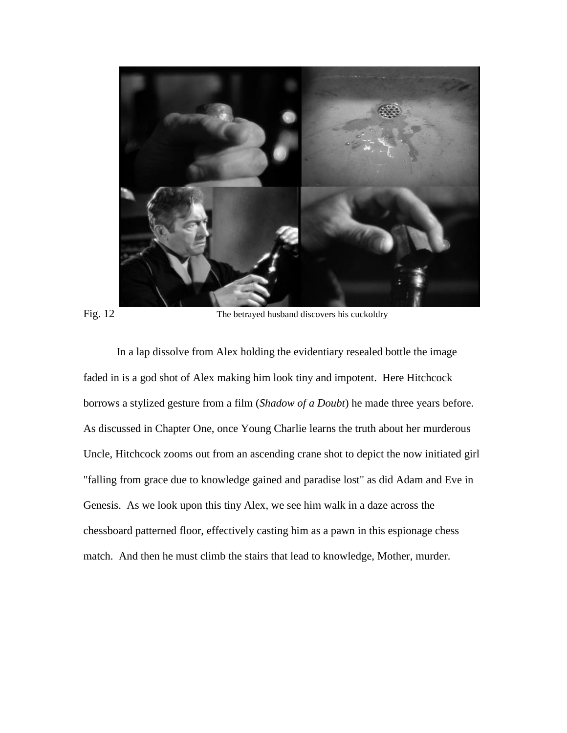

Fig. 12

The betrayed husband discovers his cuckoldry

In a lap dissolve from Alex holding the evidentiary resealed bottle the image faded in is a god shot of Alex making him look tiny and impotent. Here Hitchcock borrows a stylized gesture from a film (*Shadow of a Doubt*) he made three years before. As discussed in Chapter One, once Young Charlie learns the truth about her murderous Uncle, Hitchcock zooms out from an ascending crane shot to depict the now initiated girl "falling from grace due to knowledge gained and paradise lost" as did Adam and Eve in Genesis. As we look upon this tiny Alex, we see him walk in a daze across the chessboard patterned floor, effectively casting him as a pawn in this espionage chess match. And then he must climb the stairs that lead to knowledge, Mother, murder.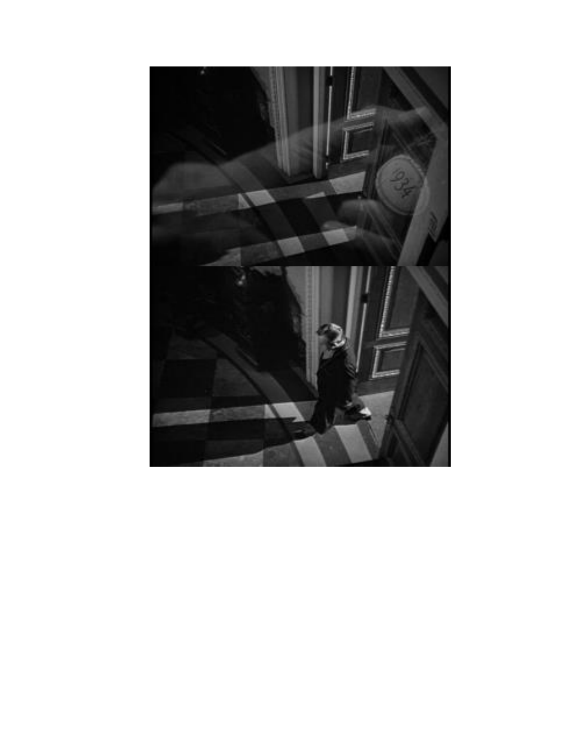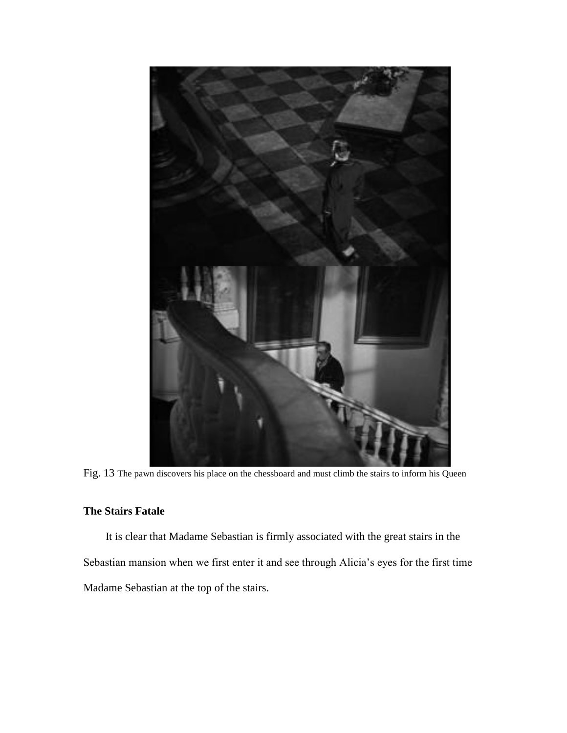

Fig. 13 The pawn discovers his place on the chessboard and must climb the stairs to inform his Queen

# **The Stairs Fatale**

 It is clear that Madame Sebastian is firmly associated with the great stairs in the Sebastian mansion when we first enter it and see through Alicia's eyes for the first time Madame Sebastian at the top of the stairs.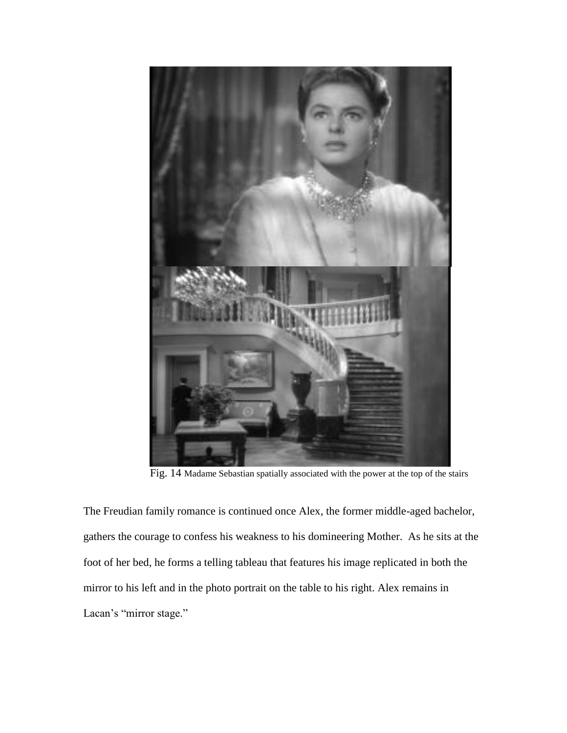

Fig. 14 Madame Sebastian spatially associated with the power at the top of the stairs

The Freudian family romance is continued once Alex, the former middle-aged bachelor, gathers the courage to confess his weakness to his domineering Mother. As he sits at the foot of her bed, he forms a telling tableau that features his image replicated in both the mirror to his left and in the photo portrait on the table to his right. Alex remains in Lacan's "mirror stage."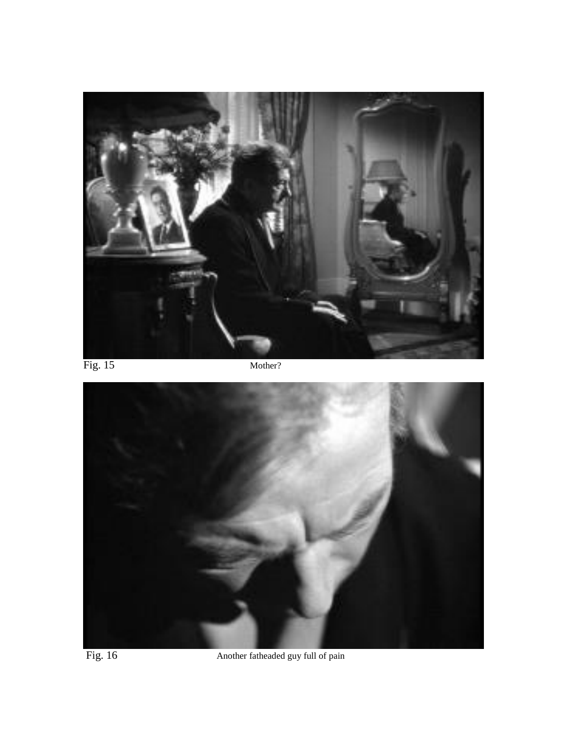



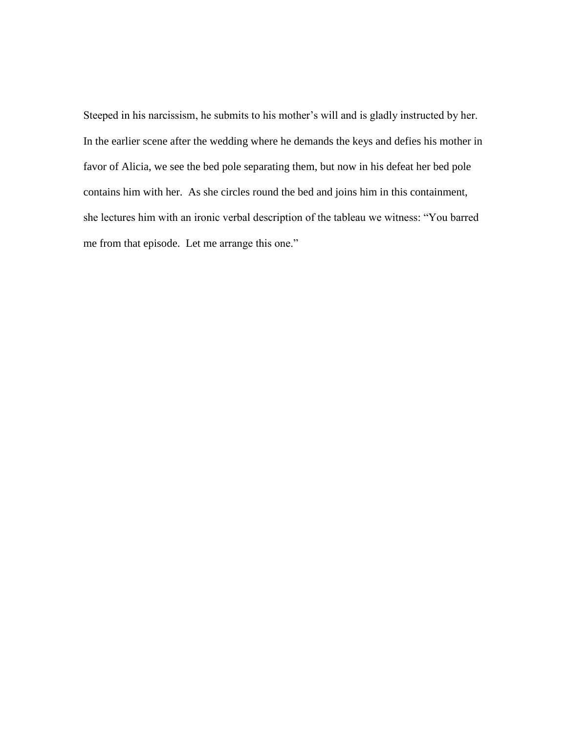Steeped in his narcissism, he submits to his mother's will and is gladly instructed by her. In the earlier scene after the wedding where he demands the keys and defies his mother in favor of Alicia, we see the bed pole separating them, but now in his defeat her bed pole contains him with her. As she circles round the bed and joins him in this containment, she lectures him with an ironic verbal description of the tableau we witness: "You barred me from that episode. Let me arrange this one."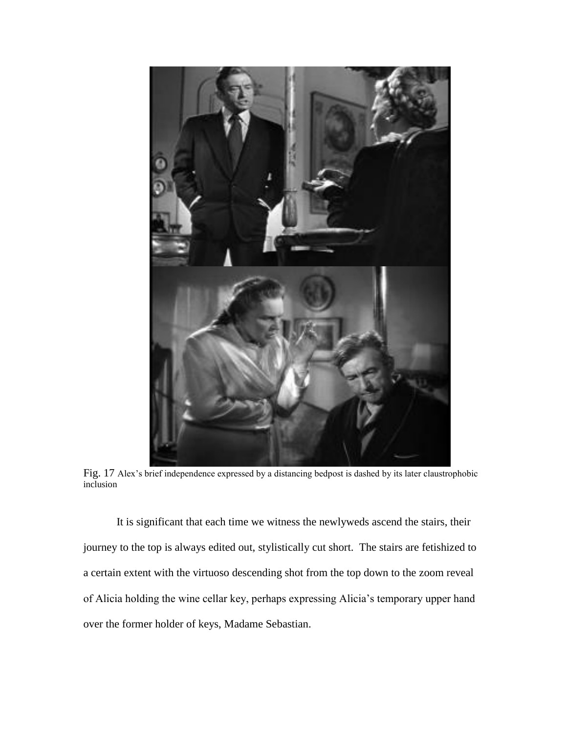

Fig. 17 Alex's brief independence expressed by a distancing bedpost is dashed by its later claustrophobic inclusion

It is significant that each time we witness the newlyweds ascend the stairs, their journey to the top is always edited out, stylistically cut short. The stairs are fetishized to a certain extent with the virtuoso descending shot from the top down to the zoom reveal of Alicia holding the wine cellar key, perhaps expressing Alicia's temporary upper hand over the former holder of keys, Madame Sebastian.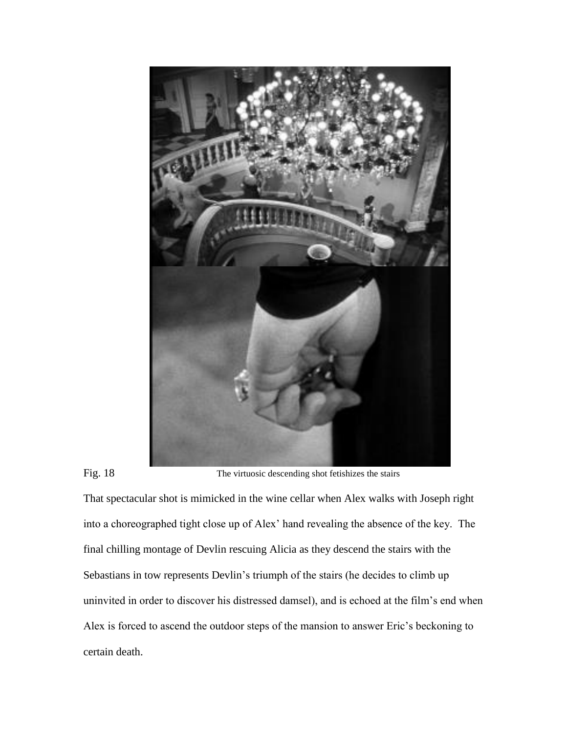

Fig. 18 The virtuosic descending shot fetishizes the stairs

That spectacular shot is mimicked in the wine cellar when Alex walks with Joseph right into a choreographed tight close up of Alex' hand revealing the absence of the key. The final chilling montage of Devlin rescuing Alicia as they descend the stairs with the Sebastians in tow represents Devlin's triumph of the stairs (he decides to climb up uninvited in order to discover his distressed damsel), and is echoed at the film's end when Alex is forced to ascend the outdoor steps of the mansion to answer Eric's beckoning to certain death.